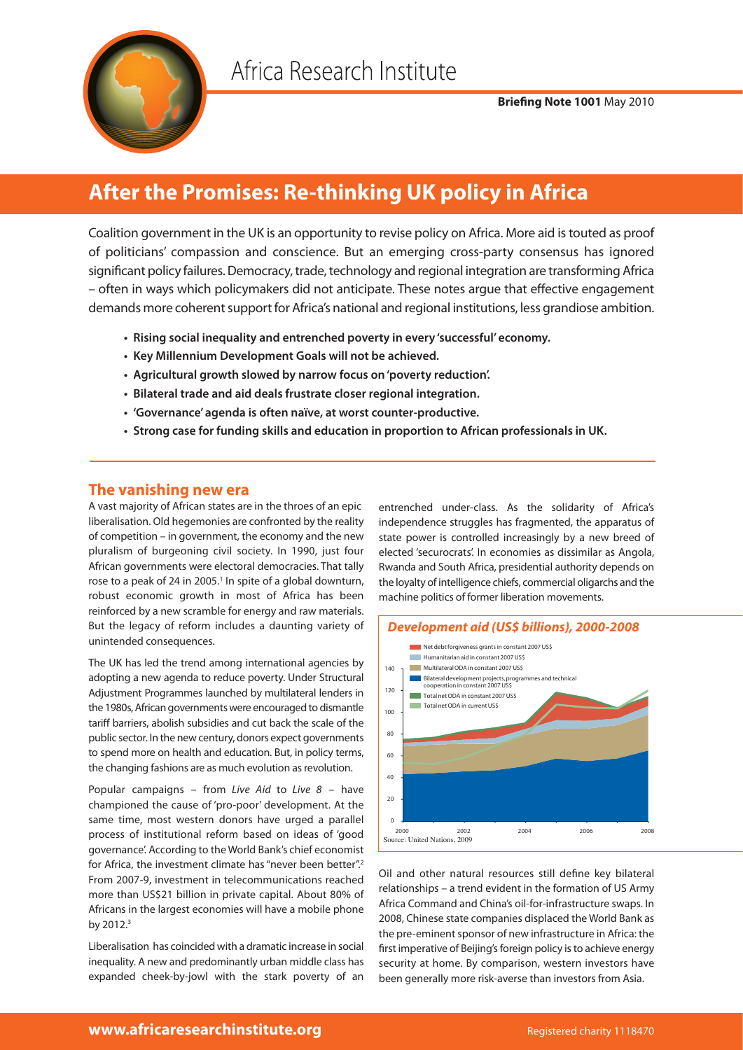

# **After the Promises: Re-thinking UK policy in Africa**

Coalition government in the UK is an opportunity to revise policy on Africa. More aid is touted as proof of politicians' compassion and conscience. But an emerging cross-party consensus has ignored significant policy failures. Democracy, trade, technology and regional integration are transforming Africa – often in ways which policymakers did not anticipate. These notes argue that effective engagement demands more coherent support for Africa's national and regional institutions, less grandiose ambition.

- **Rising social inequality and entrenched poverty in every 'successful' economy.**
- **Key Millennium Development Goals will not be achieved.**
- **Agricultural growth slowed by narrow focus on 'poverty reduction'.**
- **Bilateral trade and aid deals frustrate closer regional integration.**
- **'Governance' agenda is often naïve, at worst counter-productive.**
- **Strong case for funding skills and education in proportion to African professionals in UK.**

## **The vanishing new era**

A vast majority of African states are in the throes of an epic liberalisation. Old hegemonies are confronted by the reality of competition – in government, the economy and the new pluralism of burgeoning civil society. In 1990, just four African governments were electoral democracies. That tally rose to a peak of 24 in 2005.<sup>1</sup> In spite of a global downturn, robust economic growth in most of Africa has been reinforced by a new scramble for energy and raw materials. But the legacy of reform includes a daunting variety of unintended consequences.

The UK has led the trend among international agencies by adopting a new agenda to reduce poverty. Under Structural Adjustment Programmes launched by multilateral lenders in the 1980s, African governments were encouraged to dismantle tariff barriers, abolish subsidies and cut back the scale of the public sector. In the new century, donors expect governments to spend more on health and education. But, in policy terms, the changing fashions are as much evolution as revolution.

Popular campaigns – from *Live Aid* to *Live 8* – have championed the cause of 'pro-poor' development. At the same time, most western donors have urged a parallel process of institutional reform based on ideas of 'good governance'. According to the World Bank's chief economist for Africa, the investment climate has "never been better".2 From 2007-9, investment in telecommunications reached more than US\$21 billion in private capital. About 80% of Africans in the largest economies will have a mobile phone by 2012.<sup>3</sup>

Liberalisation has coincided with a dramatic increase in social inequality. A new and predominantly urban middle class has expanded cheek-by-jowl with the stark poverty of an

entrenched under-class. As the solidarity of Africa's independence struggles has fragmented, the apparatus of state power is controlled increasingly by a new breed of elected 'securocrats'. In economies as dissimilar as Angola, Rwanda and South Africa, presidential authority depends on the loyalty of intelligence chiefs, commercial oligarchs and the machine politics of former liberation movements.



Oil and other natural resources still define key bilateral relationships – a trend evident in the formation of US Army Africa Command and China's oil-for-infrastructure swaps. In 2008, Chinese state companies displaced the World Bank as the pre-eminent sponsor of new infrastructure in Africa: the first imperative of Beijing's foreign policy is to achieve energy security at home. By comparison, western investors have been generally more risk-averse than investors from Asia.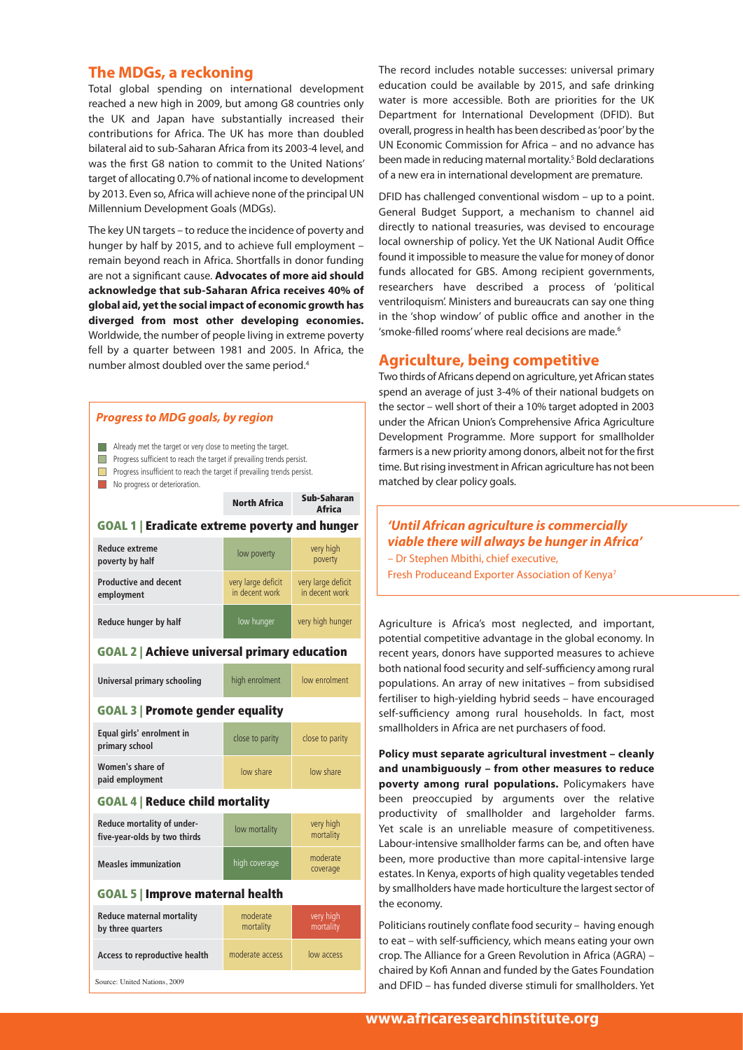### **The MDGs, a reckoning**

Total global spending on international development reached a new high in 2009, but among G8 countries only the UK and Japan have substantially increased their contributions for Africa. The UK has more than doubled bilateral aid to sub-Saharan Africa from its 2003-4 level, and was the first G8 nation to commit to the United Nations' target of allocating 0.7% of national income to development by 2013. Even so, Africa will achieve none of the principal UN Millennium Development Goals (MDGs).

The key UN targets – to reduce the incidence of poverty and hunger by half by 2015, and to achieve full employment – remain beyond reach in Africa. Shortfalls in donor funding are not a significant cause. **Advocates of more aid should acknowledge that sub-Saharan Africa receives 40% of global aid, yet the social impact of economic growth has diverged from most other developing economies.** Worldwide, the number of people living in extreme poverty fell by a quarter between 1981 and 2005. In Africa, the number almost doubled over the same period.4

#### *Progress to MDG goals, by region*

- Already met the target or very close to meeting the target.
- **Progress sufficient to reach the target if prevailing trends persist.**
- **Progress insufficient to reach the target if prevailing trends persist.**
- No progress or deterioration.

|                                                            | <b>North Africa</b>                  | Sub-Saharan<br><b>Africa</b>         |
|------------------------------------------------------------|--------------------------------------|--------------------------------------|
| <b>GOAL 1   Eradicate extreme poverty and hunger</b>       |                                      |                                      |
| <b>Reduce extreme</b><br>poverty by half                   | low poverty                          | very high<br>poverty                 |
| <b>Productive and decent</b><br>employment                 | very large deficit<br>in decent work | very large deficit<br>in decent work |
| Reduce hunger by half                                      | low hunger                           | very high hunger                     |
| <b>GOAL 2   Achieve universal primary education</b>        |                                      |                                      |
| Universal primary schooling                                | high enrolment                       | low enrolment                        |
| <b>GOAL 3   Promote gender equality</b>                    |                                      |                                      |
| Equal girls' enrolment in<br>primary school                | close to parity                      | close to parity                      |
| Women's share of<br>paid employment                        | low share                            | low share                            |
| <b>GOAL 4   Reduce child mortality</b>                     |                                      |                                      |
| Reduce mortality of under-<br>five-year-olds by two thirds | low mortality                        | very high<br>mortality               |
| <b>Measles immunization</b>                                | high coverage                        | moderate<br>coverage                 |
| <b>GOAL 5   Improve maternal health</b>                    |                                      |                                      |
| <b>Reduce maternal mortality</b><br>by three quarters      | moderate<br>mortality                | very high<br>mortality               |
| Access to reproductive health                              | moderate access                      | low access                           |

Source: United Nations, 2009

The record includes notable successes: universal primary education could be available by 2015, and safe drinking water is more accessible. Both are priorities for the UK Department for International Development (DFID). But overall, progress in health has been described as 'poor' by the UN Economic Commission for Africa – and no advance has been made in reducing maternal mortality.<sup>5</sup> Bold declarations of a new era in international development are premature.

DFID has challenged conventional wisdom – up to a point. General Budget Support, a mechanism to channel aid directly to national treasuries, was devised to encourage local ownership of policy. Yet the UK National Audit Office found it impossible to measure the value for money of donor funds allocated for GBS. Among recipient governments, researchers have described a process of 'political ventriloquism'. Ministers and bureaucrats can say one thing in the 'shop window' of public office and another in the 'smoke-filled rooms' where real decisions are made.<sup>6</sup>

#### **Agriculture, being competitive**

Two thirds of Africans depend on agriculture, yet African states spend an average of just 3-4% of their national budgets on the sector – well short of their a 10% target adopted in 2003 under the African Union's Comprehensive Africa Agriculture Development Programme. More support for smallholder farmers is a new priority among donors, albeit not for the first time. But rising investment in African agriculture has not been matched by clear policy goals.

#### *'Until African agriculture is commercially viable there will always be hunger in Africa'*

– Dr Stephen Mbithi, chief executive, Fresh Produceand Exporter Association of Kenya7

Agriculture is Africa's most neglected, and important, potential competitive advantage in the global economy. In recent years, donors have supported measures to achieve both national food security and self-sufficiency among rural populations. An array of new initatives – from subsidised fertiliser to high-yielding hybrid seeds – have encouraged self-sufficiency among rural households. In fact, most smallholders in Africa are net purchasers of food.

**Policy must separate agricultural investment – cleanly and unambiguously – from other measures to reduce poverty among rural populations.** Policymakers have been preoccupied by arguments over the relative productivity of smallholder and largeholder farms. Yet scale is an unreliable measure of competitiveness. Labour-intensive smallholder farms can be, and often have been, more productive than more capital-intensive large estates. In Kenya, exports of high quality vegetables tended by smallholders have made horticulture the largest sector of the economy.

Politicians routinely conflate food security – having enough to eat – with self-sufficiency, which means eating your own crop. The Alliance for a Green Revolution in Africa (AGRA) – chaired by Kofi Annan and funded by the Gates Foundation and DFID – has funded diverse stimuli for smallholders. Yet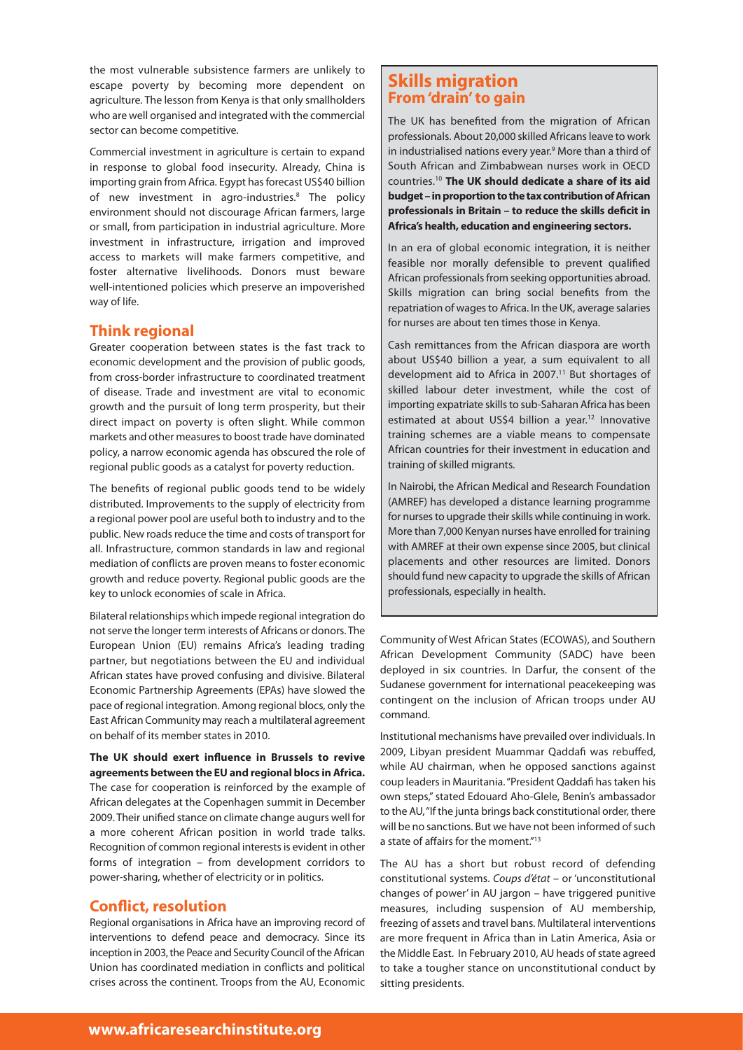the most vulnerable subsistence farmers are unlikely to escape poverty by becoming more dependent on agriculture. The lesson from Kenya is that only smallholders who are well organised and integrated with the commercial sector can become competitive.

Commercial investment in agriculture is certain to expand in response to global food insecurity. Already, China is importing grain from Africa. Egypt has forecast US\$40 billion of new investment in agro-industries.8 The policy environment should not discourage African farmers, large or small, from participation in industrial agriculture. More investment in infrastructure, irrigation and improved access to markets will make farmers competitive, and foster alternative livelihoods. Donors must beware well-intentioned policies which preserve an impoverished way of life.

#### **Think regional**

Greater cooperation between states is the fast track to economic development and the provision of public goods, from cross-border infrastructure to coordinated treatment of disease. Trade and investment are vital to economic growth and the pursuit of long term prosperity, but their direct impact on poverty is often slight. While common markets and other measures to boost trade have dominated policy, a narrow economic agenda has obscured the role of regional public goods as a catalyst for poverty reduction.

The benefits of regional public goods tend to be widely distributed. Improvements to the supply of electricity from a regional power pool are useful both to industry and to the public. New roads reduce the time and costs of transport for all. Infrastructure, common standards in law and regional mediation of conflicts are proven means to foster economic growth and reduce poverty. Regional public goods are the key to unlock economies of scale in Africa.

Bilateral relationships which impede regional integration do not serve the longer term interests of Africans or donors. The European Union (EU) remains Africa's leading trading partner, but negotiations between the EU and individual African states have proved confusing and divisive. Bilateral Economic Partnership Agreements (EPAs) have slowed the pace of regional integration. Among regional blocs, only the East African Community may reach a multilateral agreement on behalf of its member states in 2010.

**The UK should exert influence in Brussels to revive agreements between the EU and regional blocs in Africa.** The case for cooperation is reinforced by the example of African delegates at the Copenhagen summit in December 2009. Their unified stance on climate change augurs well for a more coherent African position in world trade talks. Recognition of common regional interests is evident in other forms of integration – from development corridors to power-sharing, whether of electricity or in politics.

#### **Conflict, resolution**

Regional organisations in Africa have an improving record of interventions to defend peace and democracy. Since its inception in 2003, the Peace and Security Council of the African Union has coordinated mediation in conflicts and political crises across the continent. Troops from the AU, Economic

## **Skills migration From 'drain' to gain**

The UK has benefited from the migration of African professionals. About 20,000 skilled Africans leave to work in industrialised nations every year.<sup>9</sup> More than a third of South African and Zimbabwean nurses work in OECD countries.10 **The UK should dedicate a share of its aid budget – in proportion to the tax contribution of African professionals in Britain – to reduce the skills deficit in Africa's health, education and engineering sectors.** 

In an era of global economic integration, it is neither feasible nor morally defensible to prevent qualified African professionals from seeking opportunities abroad. Skills migration can bring social benefits from the repatriation of wages to Africa. In the UK, average salaries for nurses are about ten times those in Kenya.

Cash remittances from the African diaspora are worth about US\$40 billion a year, a sum equivalent to all development aid to Africa in 2007.<sup>11</sup> But shortages of skilled labour deter investment, while the cost of importing expatriate skills to sub-Saharan Africa has been estimated at about US\$4 billion a year.<sup>12</sup> Innovative training schemes are a viable means to compensate African countries for their investment in education and training of skilled migrants.

In Nairobi, the African Medical and Research Foundation (AMREF) has developed a distance learning programme for nurses to upgrade their skills while continuing in work. More than 7,000 Kenyan nurses have enrolled for training with AMREF at their own expense since 2005, but clinical placements and other resources are limited. Donors should fund new capacity to upgrade the skills of African professionals, especially in health.

Community of West African States (ECOWAS), and Southern African Development Community (SADC) have been deployed in six countries. In Darfur, the consent of the Sudanese government for international peacekeeping was contingent on the inclusion of African troops under AU command.

Institutional mechanisms have prevailed over individuals. In 2009, Libyan president Muammar Qaddafi was rebuffed, while AU chairman, when he opposed sanctions against coup leaders in Mauritania. "President Qaddafi has taken his own steps," stated Edouard Aho-Glele, Benin's ambassador to the AU, "If the junta brings back constitutional order, there will be no sanctions. But we have not been informed of such a state of affairs for the moment."13

The AU has a short but robust record of defending constitutional systems. *Coups d'état* – or 'unconstitutional changes of power' in AU jargon – have triggered punitive measures, including suspension of AU membership, freezing of assets and travel bans. Multilateral interventions are more frequent in Africa than in Latin America, Asia or the Middle East. In February 2010, AU heads of state agreed to take a tougher stance on unconstitutional conduct by sitting presidents.